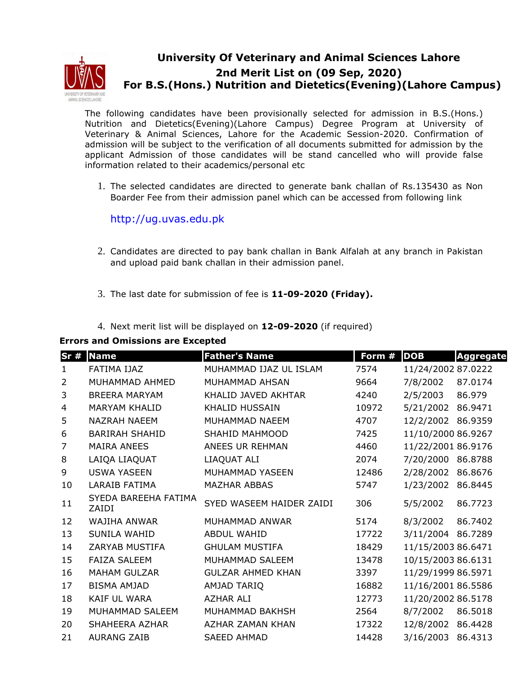

## **University Of Veterinary and Animal Sciences Lahore 2nd Merit List on (09 Sep, 2020) For B.S.(Hons.) Nutrition and Dietetics(Evening)(Lahore Campus)**

The following candidates have been provisionally selected for admission in B.S.(Hons.) Nutrition and Dietetics(Evening)(Lahore Campus) Degree Program at University of Veterinary & Animal Sciences, Lahore for the Academic Session-2020. Confirmation of admission will be subject to the verification of all documents submitted for admission by the applicant Admission of those candidates will be stand cancelled who will provide false information related to their academics/personal etc

1. The selected candidates are directed to generate bank challan of Rs.135430 as Non Boarder Fee from their admission panel which can be accessed from following link

http://ug.uvas.edu.pk

- 2. Candidates are directed to pay bank challan in Bank Alfalah at any branch in Pakistan and upload paid bank challan in their admission panel.
- 3. The last date for submission of fee is **11-09-2020 (Friday).**
- 4. Next merit list will be displayed on **12-09-2020** (if required)

## **Errors and Omissions are Excepted**

| Sr#            | <b>Name</b>                   | <b>Father's Name</b>     | Form # | <b>DOB</b>         | <b>Aggregate</b> |
|----------------|-------------------------------|--------------------------|--------|--------------------|------------------|
| $\mathbf{1}$   | FATIMA IJAZ                   | MUHAMMAD IJAZ UL ISLAM   | 7574   | 11/24/2002 87.0222 |                  |
| $\overline{2}$ | MUHAMMAD AHMED                | MUHAMMAD AHSAN           | 9664   | 7/8/2002           | 87.0174          |
| 3              | <b>BREERA MARYAM</b>          | KHALID JAVED AKHTAR      | 4240   | 2/5/2003           | 86.979           |
| 4              | <b>MARYAM KHALID</b>          | <b>KHALID HUSSAIN</b>    | 10972  | 5/21/2002          | 86.9471          |
| 5              | <b>NAZRAH NAEEM</b>           | MUHAMMAD NAFEM           | 4707   | 12/2/2002 86.9359  |                  |
| 6              | <b>BARIRAH SHAHID</b>         | SHAHID MAHMOOD           | 7425   | 11/10/2000 86.9267 |                  |
| $\overline{7}$ | <b>MAIRA ANEES</b>            | ANEES UR REHMAN          | 4460   | 11/22/2001 86.9176 |                  |
| 8              | LAIQA LIAQUAT                 | LIAQUAT ALI              | 2074   | 7/20/2000          | 86.8788          |
| 9              | <b>USWA YASEEN</b>            | MUHAMMAD YASEEN          | 12486  | 2/28/2002 86.8676  |                  |
| 10             | <b>LARAIB FATIMA</b>          | <b>MAZHAR ABBAS</b>      | 5747   | 1/23/2002          | 86.8445          |
| 11             | SYEDA BAREEHA FATIMA<br>ZAIDI | SYED WASEEM HAIDER ZAIDI | 306    | 5/5/2002           | 86.7723          |
| 12             | <b>WAJIHA ANWAR</b>           | MUHAMMAD ANWAR           | 5174   | 8/3/2002           | 86.7402          |
| 13             | SUNILA WAHID                  | <b>ABDUL WAHID</b>       | 17722  | 3/11/2004 86.7289  |                  |
| 14             | ZARYAB MUSTIFA                | <b>GHULAM MUSTIFA</b>    | 18429  | 11/15/2003 86.6471 |                  |
| 15             | <b>FAIZA SALEEM</b>           | MUHAMMAD SALEEM          | 13478  | 10/15/2003 86.6131 |                  |
| 16             | <b>MAHAM GULZAR</b>           | <b>GULZAR AHMED KHAN</b> | 3397   | 11/29/1999 86.5971 |                  |
| 17             | <b>BISMA AMJAD</b>            | AMJAD TARIQ              | 16882  | 11/16/2001 86.5586 |                  |
| 18             | <b>KAIF UL WARA</b>           | <b>AZHAR ALI</b>         | 12773  | 11/20/2002 86.5178 |                  |
| 19             | MUHAMMAD SALEEM               | MUHAMMAD BAKHSH          | 2564   | 8/7/2002           | 86.5018          |
| 20             | SHAHEERA AZHAR                | AZHAR ZAMAN KHAN         | 17322  | 12/8/2002 86.4428  |                  |
| 21             | <b>AURANG ZAIB</b>            | <b>SAEED AHMAD</b>       | 14428  | 3/16/2003 86.4313  |                  |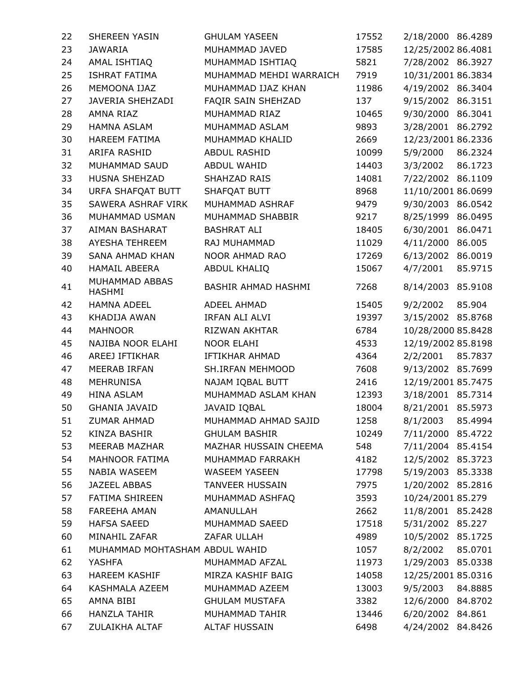| 22 | SHEREEN YASIN                   | <b>GHULAM YASEEN</b>       | 17552 | 2/18/2000 86.4289  |         |
|----|---------------------------------|----------------------------|-------|--------------------|---------|
| 23 | <b>JAWARIA</b>                  | MUHAMMAD JAVED             | 17585 | 12/25/2002 86.4081 |         |
| 24 | AMAL ISHTIAQ                    | MUHAMMAD ISHTIAQ           | 5821  | 7/28/2002 86.3927  |         |
| 25 | <b>ISHRAT FATIMA</b>            | MUHAMMAD MEHDI WARRAICH    | 7919  | 10/31/2001 86.3834 |         |
| 26 | MEMOONA IJAZ                    | MUHAMMAD IJAZ KHAN         | 11986 | 4/19/2002 86.3404  |         |
| 27 | JAVERIA SHEHZADI                | FAQIR SAIN SHEHZAD         | 137   | 9/15/2002 86.3151  |         |
| 28 | AMNA RIAZ                       | MUHAMMAD RIAZ              | 10465 | 9/30/2000 86.3041  |         |
| 29 | <b>HAMNA ASLAM</b>              | MUHAMMAD ASLAM             | 9893  | 3/28/2001          | 86.2792 |
| 30 | <b>HAREEM FATIMA</b>            | MUHAMMAD KHALID            | 2669  | 12/23/2001 86.2336 |         |
| 31 | ARIFA RASHID                    | ABDUL RASHID               | 10099 | 5/9/2000           | 86.2324 |
| 32 | MUHAMMAD SAUD                   | ABDUL WAHID                | 14403 | 3/3/2002           | 86.1723 |
| 33 | HUSNA SHEHZAD                   | SHAHZAD RAIS               | 14081 | 7/22/2002          | 86.1109 |
| 34 | URFA SHAFQAT BUTT               | SHAFQAT BUTT               | 8968  | 11/10/2001 86.0699 |         |
| 35 | SAWERA ASHRAF VIRK              | MUHAMMAD ASHRAF            | 9479  | 9/30/2003          | 86.0542 |
| 36 | MUHAMMAD USMAN                  | MUHAMMAD SHABBIR           | 9217  | 8/25/1999          | 86.0495 |
| 37 | AIMAN BASHARAT                  | <b>BASHRAT ALI</b>         | 18405 | 6/30/2001          | 86.0471 |
| 38 | AYESHA TEHREEM                  | RAJ MUHAMMAD               | 11029 | 4/11/2000          | 86.005  |
| 39 | SANA AHMAD KHAN                 | NOOR AHMAD RAO             | 17269 | 6/13/2002          | 86.0019 |
| 40 | <b>HAMAIL ABEERA</b>            | ABDUL KHALIQ               | 15067 | 4/7/2001           | 85.9715 |
| 41 | MUHAMMAD ABBAS<br><b>HASHMI</b> | <b>BASHIR AHMAD HASHMI</b> | 7268  | 8/14/2003 85.9108  |         |
| 42 | <b>HAMNA ADEEL</b>              | ADEEL AHMAD                | 15405 | 9/2/2002           | 85.904  |
| 43 | KHADIJA AWAN                    | IRFAN ALI ALVI             | 19397 | 3/15/2002 85.8768  |         |
| 44 | <b>MAHNOOR</b>                  | RIZWAN AKHTAR              | 6784  | 10/28/2000 85.8428 |         |
| 45 | NAJIBA NOOR ELAHI               | <b>NOOR ELAHI</b>          | 4533  | 12/19/2002 85.8198 |         |
| 46 | AREEJ IFTIKHAR                  | <b>IFTIKHAR AHMAD</b>      | 4364  | 2/2/2001           | 85.7837 |
| 47 | <b>MEERAB IRFAN</b>             | SH.IRFAN MEHMOOD           | 7608  | 9/13/2002 85.7699  |         |
| 48 | MEHRUNISA                       | NAJAM IQBAL BUTT           | 2416  | 12/19/2001 85.7475 |         |
| 49 | <b>HINA ASLAM</b>               | MUHAMMAD ASLAM KHAN        | 12393 | 3/18/2001 85.7314  |         |
| 50 | <b>GHANIA JAVAID</b>            | JAVAID IQBAL               | 18004 | 8/21/2001 85.5973  |         |
| 51 | ZUMAR AHMAD                     | MUHAMMAD AHMAD SAJID       | 1258  | 8/1/2003           | 85.4994 |
| 52 | KINZA BASHIR                    | <b>GHULAM BASHIR</b>       | 10249 | 7/11/2000 85.4722  |         |
| 53 | MEERAB MAZHAR                   | MAZHAR HUSSAIN CHEEMA      | 548   | 7/11/2004 85.4154  |         |
| 54 | MAHNOOR FATIMA                  | MUHAMMAD FARRAKH           | 4182  | 12/5/2002 85.3723  |         |
| 55 | NABIA WASEEM                    | <b>WASEEM YASEEN</b>       | 17798 | 5/19/2003 85.3338  |         |
| 56 | JAZEEL ABBAS                    | <b>TANVEER HUSSAIN</b>     | 7975  | 1/20/2002 85.2816  |         |
| 57 | <b>FATIMA SHIREEN</b>           | MUHAMMAD ASHFAQ            | 3593  | 10/24/2001 85.279  |         |
| 58 | <b>FAREEHA AMAN</b>             | AMANULLAH                  | 2662  | 11/8/2001 85.2428  |         |
| 59 | <b>HAFSA SAEED</b>              | MUHAMMAD SAEED             | 17518 | 5/31/2002 85.227   |         |
| 60 | MINAHIL ZAFAR                   | ZAFAR ULLAH                | 4989  | 10/5/2002 85.1725  |         |
| 61 | MUHAMMAD MOHTASHAM ABDUL WAHID  |                            | 1057  | 8/2/2002           | 85.0701 |
| 62 | YASHFA                          | MUHAMMAD AFZAL             | 11973 | 1/29/2003 85.0338  |         |
| 63 | <b>HAREEM KASHIF</b>            | MIRZA KASHIF BAIG          | 14058 | 12/25/2001 85.0316 |         |
| 64 | KASHMALA AZEEM                  | MUHAMMAD AZEEM             | 13003 | 9/5/2003           | 84.8885 |
| 65 | AMNA BIBI                       | <b>GHULAM MUSTAFA</b>      | 3382  | 12/6/2000 84.8702  |         |
| 66 | <b>HANZLA TAHIR</b>             | MUHAMMAD TAHIR             | 13446 | 6/20/2002 84.861   |         |
| 67 | ZULAIKHA ALTAF                  | ALTAF HUSSAIN              | 6498  | 4/24/2002 84.8426  |         |
|    |                                 |                            |       |                    |         |